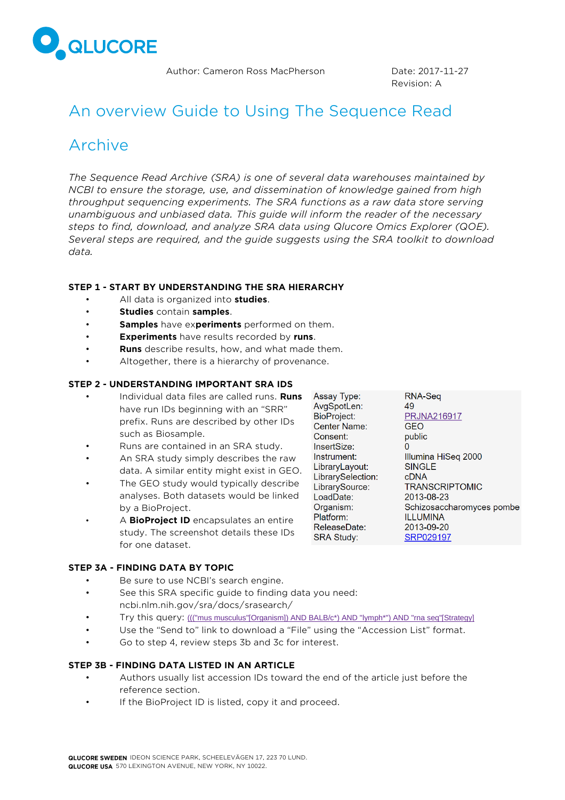

Author: Cameron Ross MacPherson **Date: 2017-11-27** 

Revision: A

# An overview Guide to Using The Sequence Read

## Archive

*The Sequence Read Archive (SRA) is one of several data warehouses maintained by NCBI to ensure the storage, use, and dissemination of knowledge gained from high throughput sequencing experiments. The SRA functions as a raw data store serving unambiguous and unbiased data. This guide will inform the reader of the necessary steps to find, download, and analyze SRA data using Qlucore Omics Explorer (QOE). Several steps are required, and the guide suggests using the SRA toolkit to download data.*

## **STEP 1 - START BY UNDERSTANDING THE SRA HIERARCHY**

- All data is organized into **studies**.
- **Studies** contain **samples**.
- **Samples** have ex**periments** performed on them.
- **Experiments** have results recorded by **runs**.
- **Runs** describe results, how, and what made them.
- Altogether, there is a hierarchy of provenance.

## **STEP 2 - UNDERSTANDING IMPORTANT SRA IDS**

- Individual data files are called runs. **Runs** have run IDs beginning with an "SRR" prefix. Runs are described by other IDs such as Biosample.
- Runs are contained in an SRA study.
- An SRA study simply describes the raw data. A similar entity might exist in GEO.
- The GEO study would typically describe analyses. Both datasets would be linked by a BioProject.
- A **BioProject ID** encapsulates an entire study. The screenshot details these IDs for one dataset.

Assay Type: AvgSpotLen: **BioProject:** Center Name: Consent: InsertSize: Instrument: LibraryLayout: LibrarySelection: LibrarySource: LoadDate: Organism: Platform: ReleaseDate: **SRA Study:** 

RNA-Seq 49 **PRJNA216917 GEO** public O Illumina HiSeq 2000 **SINGLE** cDNA **TRANSCRIPTOMIC** 2013-08-23 Schizosaccharomyces pombe **ILLUMINA** 2013-09-20 SRP029197

- **STEP 3A - FINDING DATA BY TOPIC**
	- Be sure to use NCBI's search engine.
	- See this SRA specific guide to finding data you need: ncbi.nlm.nih.gov/sra/docs/srasearch/
	- Try this query: [\(\(\("mus musculus"\[Organism\]\) AND BALB/c\\*\) AND "lymph\\*"\) AND "rna seq"\[Strategy\]](https://www.ncbi.nlm.nih.gov/sra/?term=(((%22mus%20musculus%22%5BOrganism%5D)%20AND%20BALB/c*)%20AND%20%22lymph*%22)%20AND%20%22rna%20seq%22%5BStrategy%5D%20)
	- Use the "Send to" link to download a "File" using the "Accession List" format.
	- Go to step 4, review steps 3b and 3c for interest.

## **STEP 3B - FINDING DATA LISTED IN AN ARTICLE**

- Authors usually list accession IDs toward the end of the article just before the reference section.
- If the BioProject ID is listed, copy it and proceed.